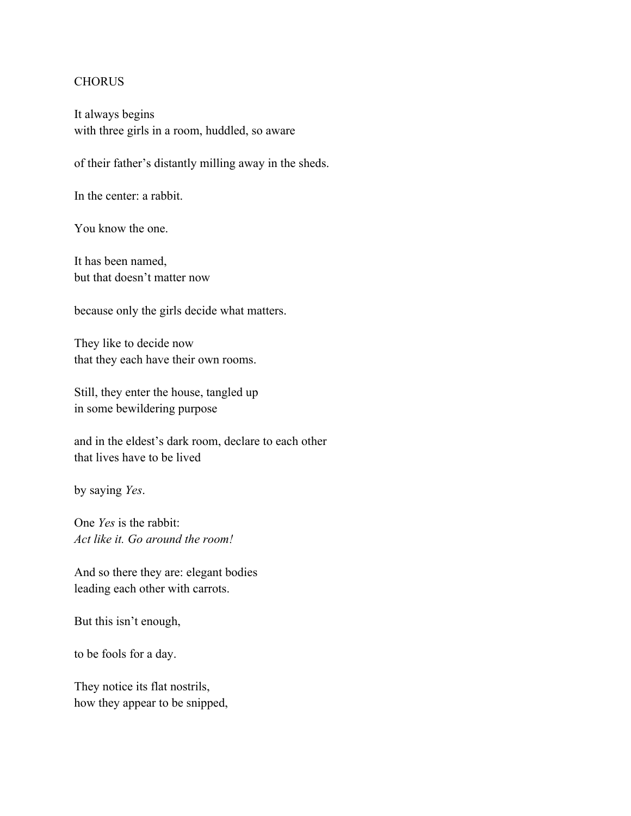It always begins with three girls in a room, huddled, so aware

of their father's distantly milling away in the sheds.

In the center: a rabbit.

You know the one.

It has been named, but that doesn't matter now

because only the girls decide what matters.

They like to decide now that they each have their own rooms.

Still, they enter the house, tangled up in some bewildering purpose

and in the eldest's dark room, declare to each other that lives have to be lived

by saying *Yes*.

One *Yes* is the rabbit: *Act like it. Go around the room!*

And so there they are: elegant bodies leading each other with carrots.

But this isn't enough,

to be fools for a day.

They notice its flat nostrils, how they appear to be snipped,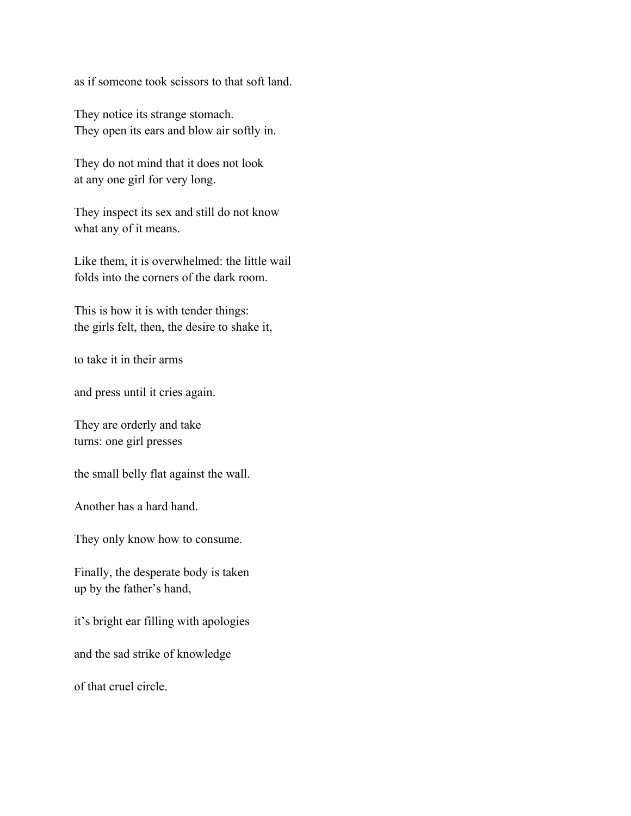as if someone took scissors to that soft land.

They notice its strange stomach. They open its ears and blow air softly in.

They do not mind that it does not look at any one girl for very long.

They inspect its sex and still do not know what any of it means.

Like them, it is overwhelmed: the little wail folds into the corners of the dark room.

This is how it is with tender things: the girls felt, then, the desire to shake it,

to take it in their arms

and press until it cries again.

They are orderly and take turns: one girl presses

the small belly flat against the wall.

Another has a hard hand.

They only know how to consume.

Finally, the desperate body is taken up by the father's hand,

it's bright ear filling with apologies

and the sad strike of knowledge

of that cruel circle.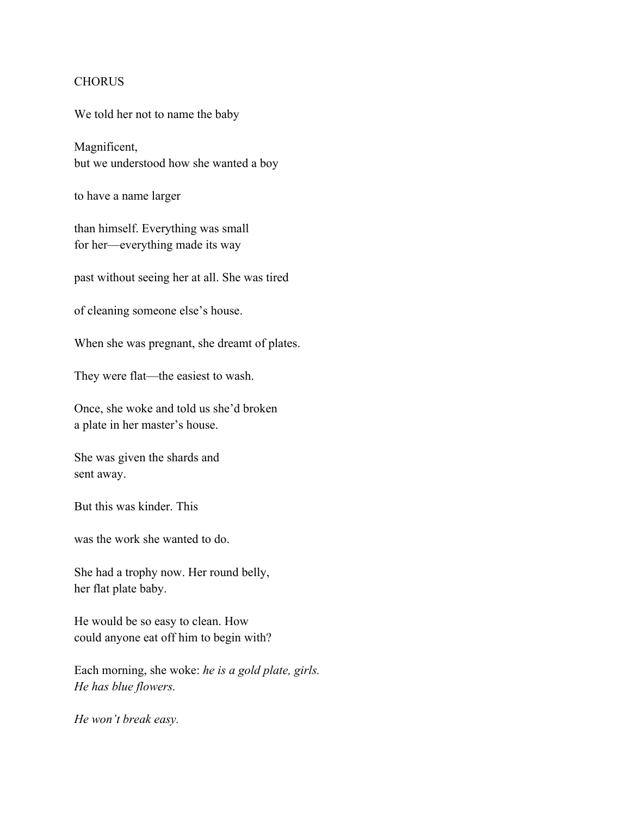We told her not to name the baby

Magnificent, but we understood how she wanted a boy

to have a name larger

than himself. Everything was small for her—everything made its way

past without seeing her at all. She was tired

of cleaning someone else's house.

When she was pregnant, she dreamt of plates.

They were flat—the easiest to wash.

Once, she woke and told us she'd broken a plate in her master's house.

She was given the shards and sent away.

But this was kinder. This

was the work she wanted to do.

She had a trophy now. Her round belly, her flat plate baby.

He would be so easy to clean. How could anyone eat off him to begin with?

Each morning, she woke: *he is a gold plate, girls. He has blue flowers.*

*He won't break easy.*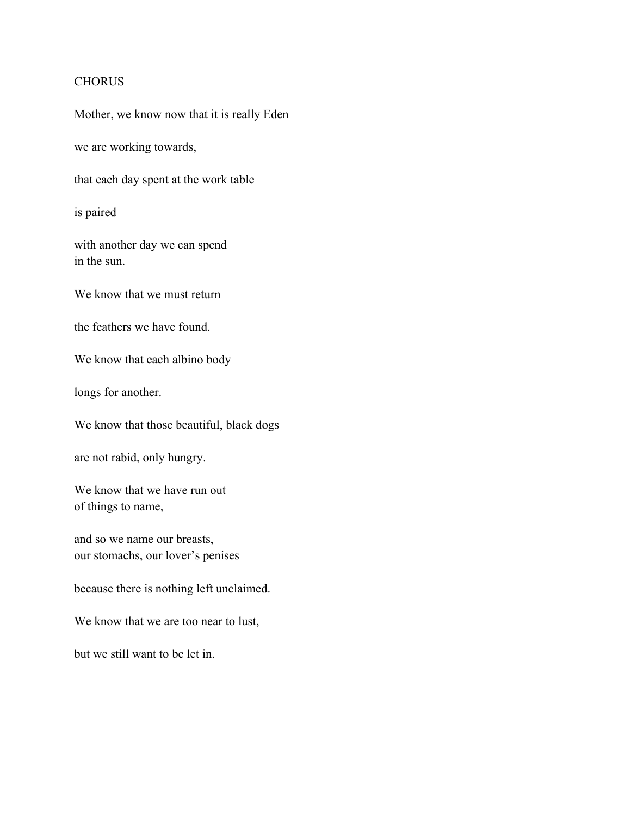Mother, we know now that it is really Eden

we are working towards,

that each day spent at the work table

is paired

with another day we can spend in the sun.

We know that we must return

the feathers we have found.

We know that each albino body

longs for another.

We know that those beautiful, black dogs

are not rabid, only hungry.

We know that we have run out of things to name,

and so we name our breasts, our stomachs, our lover's penises

because there is nothing left unclaimed.

We know that we are too near to lust,

but we still want to be let in.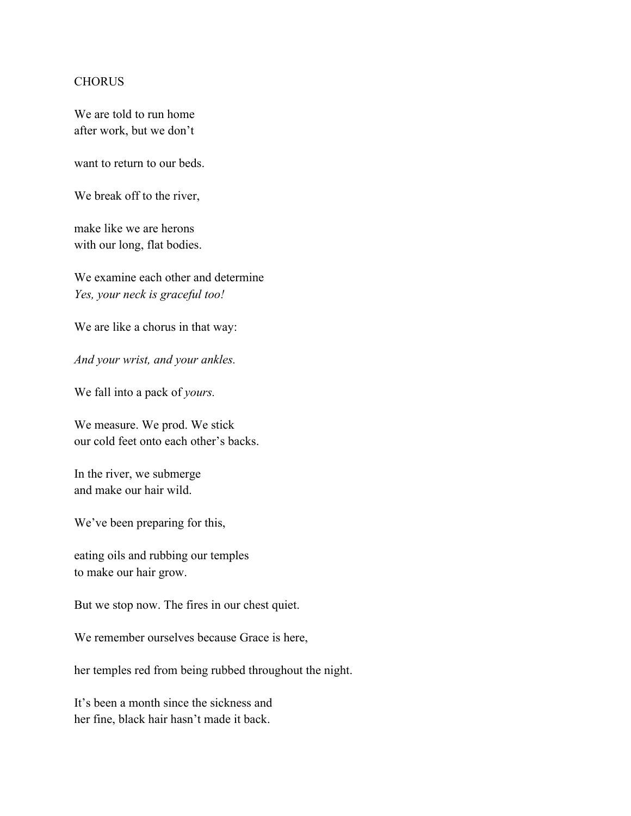We are told to run home after work, but we don't

want to return to our beds.

We break off to the river,

make like we are herons with our long, flat bodies.

We examine each other and determine *Yes, your neck is graceful too!*

We are like a chorus in that way:

*And your wrist, and your ankles.*

We fall into a pack of *yours.*

We measure. We prod. We stick our cold feet onto each other's backs.

In the river, we submerge and make our hair wild.

We've been preparing for this,

eating oils and rubbing our temples to make our hair grow.

But we stop now. The fires in our chest quiet.

We remember ourselves because Grace is here,

her temples red from being rubbed throughout the night.

It's been a month since the sickness and her fine, black hair hasn't made it back.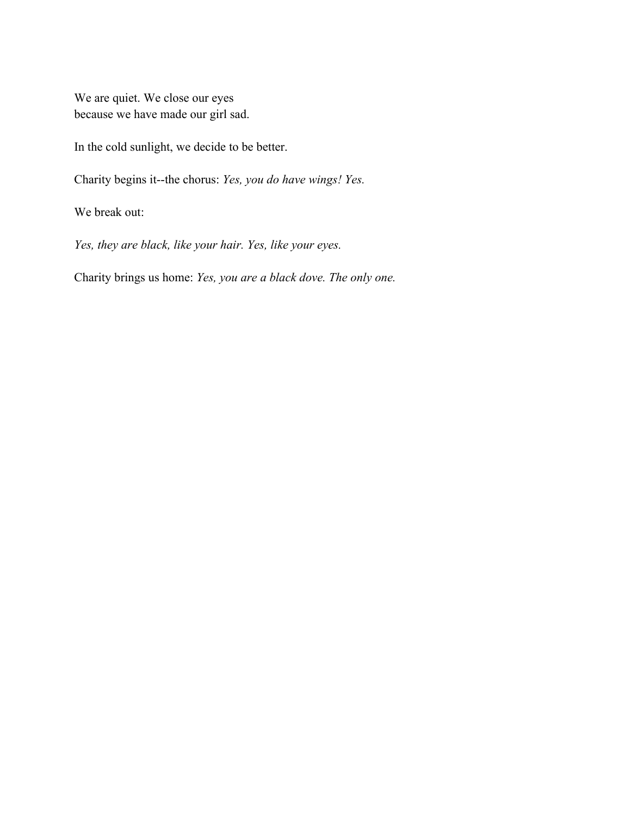We are quiet. We close our eyes because we have made our girl sad.

In the cold sunlight, we decide to be better.

Charity begins it--the chorus: *Yes, you do have wings! Yes.*

We break out:

*Yes, they are black, like your hair. Yes, like your eyes.*

Charity brings us home: *Yes, you are a black dove. The only one.*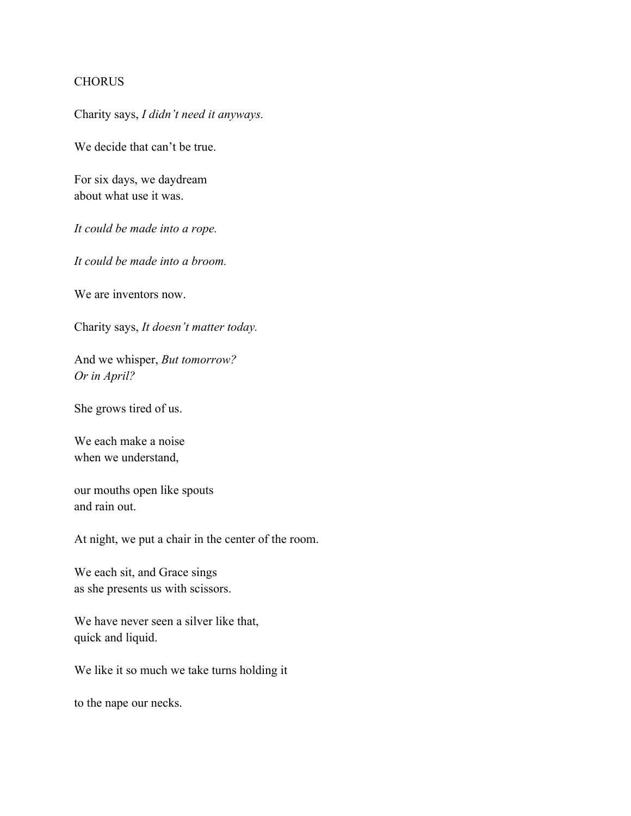Charity says, *I didn't need it anyways.*

We decide that can't be true.

For six days, we daydream about what use it was.

*It could be made into a rope.*

*It could be made into a broom.*

We are inventors now.

Charity says, *It doesn't matter today.*

And we whisper, *But tomorrow? Or in April?*

She grows tired of us.

We each make a noise when we understand,

our mouths open like spouts and rain out.

At night, we put a chair in the center of the room.

We each sit, and Grace sings as she presents us with scissors.

We have never seen a silver like that, quick and liquid.

We like it so much we take turns holding it

to the nape our necks.